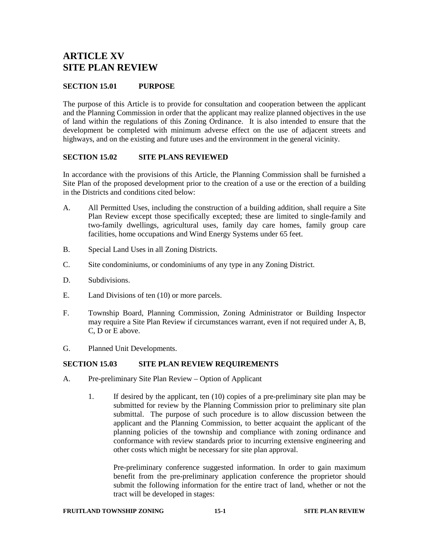# **ARTICLE XV SITE PLAN REVIEW**

## **SECTION 15.01 PURPOSE**

The purpose of this Article is to provide for consultation and cooperation between the applicant and the Planning Commission in order that the applicant may realize planned objectives in the use of land within the regulations of this Zoning Ordinance. It is also intended to ensure that the development be completed with minimum adverse effect on the use of adjacent streets and highways, and on the existing and future uses and the environment in the general vicinity.

## **SECTION 15.02 SITE PLANS REVIEWED**

In accordance with the provisions of this Article, the Planning Commission shall be furnished a Site Plan of the proposed development prior to the creation of a use or the erection of a building in the Districts and conditions cited below:

- A. All Permitted Uses, including the construction of a building addition, shall require a Site Plan Review except those specifically excepted; these are limited to single-family and two-family dwellings, agricultural uses, family day care homes, family group care facilities, home occupations and Wind Energy Systems under 65 feet.
- B. Special Land Uses in all Zoning Districts.
- C. Site condominiums, or condominiums of any type in any Zoning District.
- D. Subdivisions.
- E. Land Divisions of ten (10) or more parcels.
- F. Township Board, Planning Commission, Zoning Administrator or Building Inspector may require a Site Plan Review if circumstances warrant, even if not required under A, B, C, D or E above.
- G. Planned Unit Developments.

## **SECTION 15.03 SITE PLAN REVIEW REQUIREMENTS**

- A. Pre-preliminary Site Plan Review Option of Applicant
	- 1. If desired by the applicant, ten (10) copies of a pre-preliminary site plan may be submitted for review by the Planning Commission prior to preliminary site plan submittal. The purpose of such procedure is to allow discussion between the applicant and the Planning Commission, to better acquaint the applicant of the planning policies of the township and compliance with zoning ordinance and conformance with review standards prior to incurring extensive engineering and other costs which might be necessary for site plan approval.

Pre-preliminary conference suggested information. In order to gain maximum benefit from the pre-preliminary application conference the proprietor should submit the following information for the entire tract of land, whether or not the tract will be developed in stages: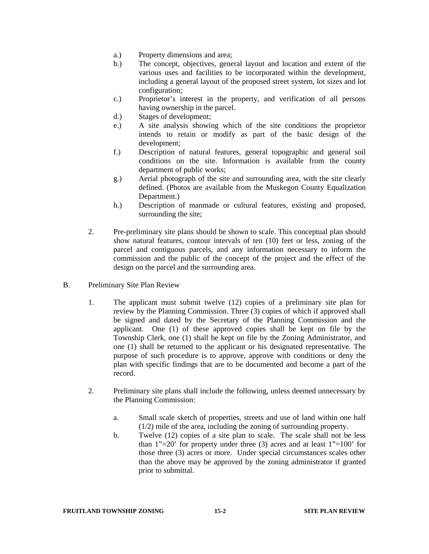- a.) Property dimensions and area;
- b.) The concept, objectives, general layout and location and extent of the various uses and facilities to be incorporated within the development, including a general layout of the proposed street system, lot sizes and lot configuration;
- c.) Proprietor's interest in the property, and verification of all persons having ownership in the parcel.
- d.) Stages of development;
- e.) A site analysis showing which of the site conditions the proprietor intends to retain or modify as part of the basic design of the development;
- f.) Description of natural features, general topographic and general soil conditions on the site. Information is available from the county department of public works;
- g.) Aerial photograph of the site and surrounding area, with the site clearly defined. (Photos are available from the Muskegon County Equalization Department.)
- h.) Description of manmade or cultural features, existing and proposed, surrounding the site;
- 2. Pre-preliminary site plans should be shown to scale. This conceptual plan should show natural features, contour intervals of ten (10) feet or less, zoning of the parcel and contiguous parcels, and any information necessary to inform the commission and the public of the concept of the project and the effect of the design on the parcel and the surrounding area.
- B. Preliminary Site Plan Review
	- 1. The applicant must submit twelve (12) copies of a preliminary site plan for review by the Planning Commission. Three (3) copies of which if approved shall be signed and dated by the Secretary of the Planning Commission and the applicant. One (1) of these approved copies shall be kept on file by the Township Clerk, one (1) shall be kept on file by the Zoning Administrator, and one (1) shall be returned to the applicant or his designated representative. The purpose of such procedure is to approve, approve with conditions or deny the plan with specific findings that are to be documented and become a part of the record.
	- 2. Preliminary site plans shall include the following, unless deemed unnecessary by the Planning Commission:
		- a. Small scale sketch of properties, streets and use of land within one half (1/2) mile of the area, including the zoning of surrounding property.
		- b. Twelve (12) copies of a site plan to scale. The scale shall not be less than  $1"=20'$  for property under three (3) acres and at least  $1"=100'$  for those three (3) acres or more. Under special circumstances scales other than the above may be approved by the zoning administrator if granted prior to submittal.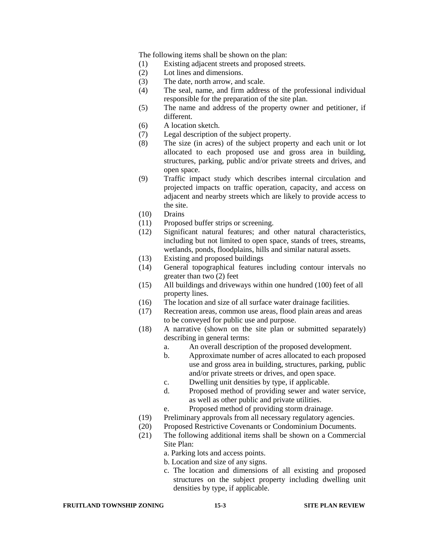The following items shall be shown on the plan:

- (1) Existing adjacent streets and proposed streets.
- (2) Lot lines and dimensions.
- (3) The date, north arrow, and scale.
- (4) The seal, name, and firm address of the professional individual responsible for the preparation of the site plan.
- (5) The name and address of the property owner and petitioner, if different.
- (6) A location sketch.
- (7) Legal description of the subject property.
- (8) The size (in acres) of the subject property and each unit or lot allocated to each proposed use and gross area in building, structures, parking, public and/or private streets and drives, and open space.
- (9) Traffic impact study which describes internal circulation and projected impacts on traffic operation, capacity, and access on adjacent and nearby streets which are likely to provide access to the site.
- (10) Drains
- (11) Proposed buffer strips or screening.
- (12) Significant natural features; and other natural characteristics, including but not limited to open space, stands of trees, streams, wetlands, ponds, floodplains, hills and similar natural assets.
- (13) Existing and proposed buildings
- (14) General topographical features including contour intervals no greater than two (2) feet
- (15) All buildings and driveways within one hundred (100) feet of all property lines.
- (16) The location and size of all surface water drainage facilities.
- (17) Recreation areas, common use areas, flood plain areas and areas to be conveyed for public use and purpose.
- (18) A narrative (shown on the site plan or submitted separately) describing in general terms:
	- a. An overall description of the proposed development.
	- b. Approximate number of acres allocated to each proposed use and gross area in building, structures, parking, public and/or private streets or drives, and open space.
	- c. Dwelling unit densities by type, if applicable.
	- d. Proposed method of providing sewer and water service, as well as other public and private utilities.
	- e. Proposed method of providing storm drainage.
- (19) Preliminary approvals from all necessary regulatory agencies.
- (20) Proposed Restrictive Covenants or Condominium Documents.
- (21) The following additional items shall be shown on a Commercial Site Plan:
	- a. Parking lots and access points.
	- b. Location and size of any signs.
	- c. The location and dimensions of all existing and proposed structures on the subject property including dwelling unit densities by type, if applicable.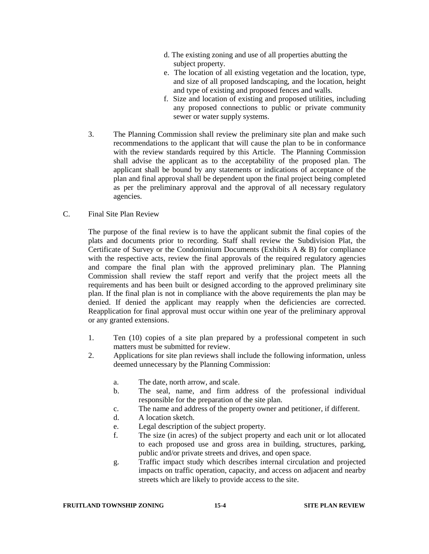- d. The existing zoning and use of all properties abutting the subject property.
- e. The location of all existing vegetation and the location, type, and size of all proposed landscaping, and the location, height and type of existing and proposed fences and walls.
- f. Size and location of existing and proposed utilities, including any proposed connections to public or private community sewer or water supply systems.
- 3. The Planning Commission shall review the preliminary site plan and make such recommendations to the applicant that will cause the plan to be in conformance with the review standards required by this Article. The Planning Commission shall advise the applicant as to the acceptability of the proposed plan. The applicant shall be bound by any statements or indications of acceptance of the plan and final approval shall be dependent upon the final project being completed as per the preliminary approval and the approval of all necessary regulatory agencies.
- C. Final Site Plan Review

The purpose of the final review is to have the applicant submit the final copies of the plats and documents prior to recording. Staff shall review the Subdivision Plat, the Certificate of Survey or the Condominium Documents (Exhibits A & B) for compliance with the respective acts, review the final approvals of the required regulatory agencies and compare the final plan with the approved preliminary plan. The Planning Commission shall review the staff report and verify that the project meets all the requirements and has been built or designed according to the approved preliminary site plan. If the final plan is not in compliance with the above requirements the plan may be denied. If denied the applicant may reapply when the deficiencies are corrected. Reapplication for final approval must occur within one year of the preliminary approval or any granted extensions.

- 1. Ten (10) copies of a site plan prepared by a professional competent in such matters must be submitted for review.
- 2. Applications for site plan reviews shall include the following information, unless deemed unnecessary by the Planning Commission:
	- a. The date, north arrow, and scale.
	- b. The seal, name, and firm address of the professional individual responsible for the preparation of the site plan.
	- c. The name and address of the property owner and petitioner, if different.
	- d. A location sketch.
	- e. Legal description of the subject property.
	- f. The size (in acres) of the subject property and each unit or lot allocated to each proposed use and gross area in building, structures, parking, public and/or private streets and drives, and open space.
	- g. Traffic impact study which describes internal circulation and projected impacts on traffic operation, capacity, and access on adjacent and nearby streets which are likely to provide access to the site.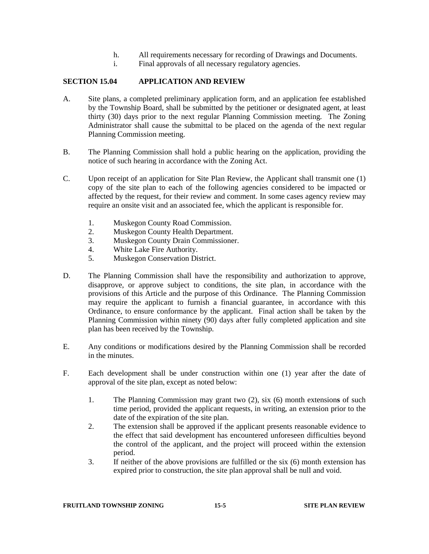- h. All requirements necessary for recording of Drawings and Documents.
- i. Final approvals of all necessary regulatory agencies.

## **SECTION 15.04 APPLICATION AND REVIEW**

- A. Site plans, a completed preliminary application form, and an application fee established by the Township Board, shall be submitted by the petitioner or designated agent, at least thirty (30) days prior to the next regular Planning Commission meeting. The Zoning Administrator shall cause the submittal to be placed on the agenda of the next regular Planning Commission meeting.
- B. The Planning Commission shall hold a public hearing on the application, providing the notice of such hearing in accordance with the Zoning Act.
- C. Upon receipt of an application for Site Plan Review, the Applicant shall transmit one (1) copy of the site plan to each of the following agencies considered to be impacted or affected by the request, for their review and comment. In some cases agency review may require an onsite visit and an associated fee, which the applicant is responsible for.
	- 1. Muskegon County Road Commission.<br>2. Muskegon County Health Department
	- 2. Muskegon County Health Department.
	- 3. Muskegon County Drain Commissioner.
	- 4. White Lake Fire Authority.<br>5. Muskegon Conservation Dis
	- 5. Muskegon Conservation District.
- D. The Planning Commission shall have the responsibility and authorization to approve, disapprove, or approve subject to conditions, the site plan, in accordance with the provisions of this Article and the purpose of this Ordinance. The Planning Commission may require the applicant to furnish a financial guarantee, in accordance with this Ordinance, to ensure conformance by the applicant. Final action shall be taken by the Planning Commission within ninety (90) days after fully completed application and site plan has been received by the Township.
- E. Any conditions or modifications desired by the Planning Commission shall be recorded in the minutes.
- F. Each development shall be under construction within one (1) year after the date of approval of the site plan, except as noted below:
	- 1. The Planning Commission may grant two (2), six (6) month extension**s** of such time period, provided the applicant requests, in writing, an extension prior to the date of the expiration of the site plan.
	- 2. The extension shall be approved if the applicant presents reasonable evidence to the effect that said development has encountered unforeseen difficulties beyond the control of the applicant, and the project will proceed within the extension period.
	- 3. If neither of the above provisions are fulfilled or the six (6) month extension has expired prior to construction, the site plan approval shall be null and void.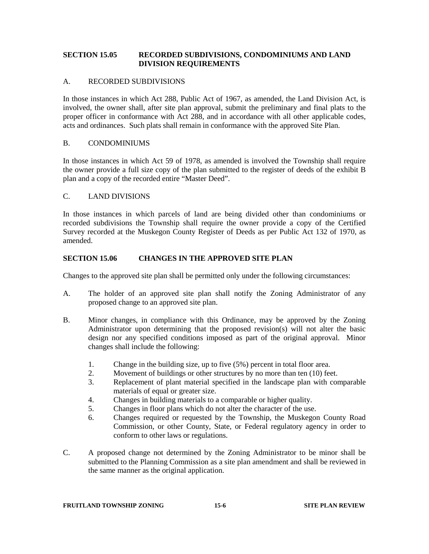## **SECTION 15.05 RECORDED SUBDIVISIONS, CONDOMINIUM***S* **AND LAND DIVISION REQUIREMENTS**

### A. RECORDED SUBDIVISIONS

In those instances in which Act 288, Public Act of 1967, as amended, the Land Division Act, is involved, the owner shall, after site plan approval, submit the preliminary and final plats to the proper officer in conformance with Act 288, and in accordance with all other applicable codes, acts and ordinances. Such plats shall remain in conformance with the approved Site Plan.

#### B. CONDOMINIUMS

In those instances in which Act 59 of 1978, as amended is involved the Township shall require the owner provide a full size copy of the plan submitted to the register of deeds of the exhibit B plan and a copy of the recorded entire "Master Deed".

## C. LAND DIVISIONS

In those instances in which parcels of land are being divided other than condominiums or recorded subdivisions the Township shall require the owner provide a copy of the Certified Survey recorded at the Muskegon County Register of Deeds as per Public Act 132 of 1970, as amended.

## **SECTION 15.06 CHANGES IN THE APPROVED SITE PLAN**

Changes to the approved site plan shall be permitted only under the following circumstances:

- A. The holder of an approved site plan shall notify the Zoning Administrator of any proposed change to an approved site plan.
- B. Minor changes, in compliance with this Ordinance, may be approved by the Zoning Administrator upon determining that the proposed revision(s) will not alter the basic design nor any specified conditions imposed as part of the original approval. Minor changes shall include the following:
	- 1. Change in the building size, up to five (5%) percent in total floor area.
	- 2. Movement of buildings or other structures by no more than ten (10) feet.
	- 3. Replacement of plant material specified in the landscape plan with comparable materials of equal or greater size.
	- 4. Changes in building materials to a comparable or higher quality.
	- 5. Changes in floor plans which do not alter the character of the use.
	- 6. Changes required or requested by the Township, the Muskegon County Road Commission, or other County, State, or Federal regulatory agency in order to conform to other laws or regulations.
- C. A proposed change not determined by the Zoning Administrator to be minor shall be submitted to the Planning Commission as a site plan amendment and shall be reviewed in the same manner as the original application.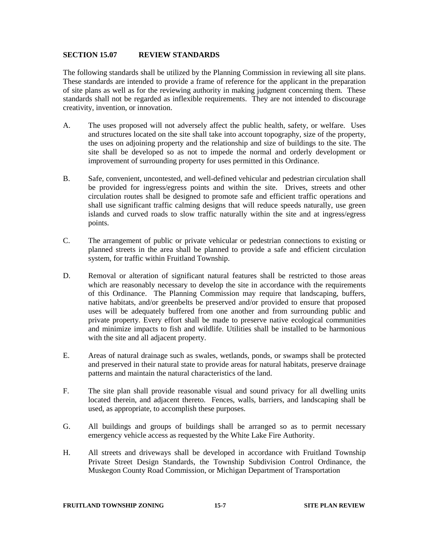#### **SECTION 15.07 REVIEW STANDARDS**

The following standards shall be utilized by the Planning Commission in reviewing all site plans. These standards are intended to provide a frame of reference for the applicant in the preparation of site plans as well as for the reviewing authority in making judgment concerning them. These standards shall not be regarded as inflexible requirements. They are not intended to discourage creativity, invention, or innovation.

- A. The uses proposed will not adversely affect the public health, safety, or welfare. Uses and structures located on the site shall take into account topography, size of the property, the uses on adjoining property and the relationship and size of buildings to the site. The site shall be developed so as not to impede the normal and orderly development or improvement of surrounding property for uses permitted in this Ordinance.
- B. Safe, convenient, uncontested, and well-defined vehicular and pedestrian circulation shall be provided for ingress/egress points and within the site. Drives, streets and other circulation routes shall be designed to promote safe and efficient traffic operations and shall use significant traffic calming designs that will reduce speeds naturally, use green islands and curved roads to slow traffic naturally within the site and at ingress/egress points.
- C. The arrangement of public or private vehicular or pedestrian connections to existing or planned streets in the area shall be planned to provide a safe and efficient circulation system, for traffic within Fruitland Township.
- D. Removal or alteration of significant natural features shall be restricted to those areas which are reasonably necessary to develop the site in accordance with the requirements of this Ordinance. The Planning Commission may require that landscaping, buffers, native habitats, and/or greenbelts be preserved and/or provided to ensure that proposed uses will be adequately buffered from one another and from surrounding public and private property. Every effort shall be made to preserve native ecological communities and minimize impacts to fish and wildlife. Utilities shall be installed to be harmonious with the site and all adjacent property.
- E. Areas of natural drainage such as swales, wetlands, ponds, or swamps shall be protected and preserved in their natural state to provide areas for natural habitats, preserve drainage patterns and maintain the natural characteristics of the land.
- F. The site plan shall provide reasonable visual and sound privacy for all dwelling units located therein, and adjacent thereto. Fences, walls, barriers, and landscaping shall be used, as appropriate, to accomplish these purposes.
- G. All buildings and groups of buildings shall be arranged so as to permit necessary emergency vehicle access as requested by the White Lake Fire Authority.
- H. All streets and driveways shall be developed in accordance with Fruitland Township Private Street Design Standards, the Township Subdivision Control Ordinance, the Muskegon County Road Commission, or Michigan Department of Transportation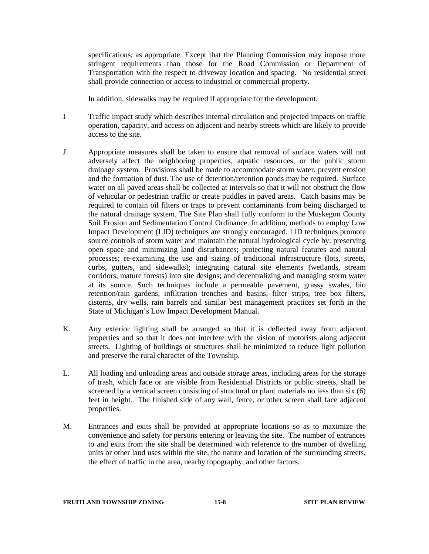specifications, as appropriate. Except that the Planning Commission may impose more stringent requirements than those for the Road Commission or Department of Transportation with the respect to driveway location and spacing. No residential street shall provide connection or access to industrial or commercial property.

In addition, sidewalks may be required if appropriate for the development.

- I Traffic impact study which describes internal circulation and projected impacts on traffic operation, capacity, and access on adjacent and nearby streets which are likely to provide access to the site.
- J. Appropriate measures shall be taken to ensure that removal of surface waters will not adversely affect the neighboring properties, aquatic resources, or the public storm drainage system. Provisions shall be made to accommodate storm water, prevent erosion and the formation of dust. The use of detention/retention ponds may be required. Surface water on all paved areas shall be collected at intervals so that it will not obstruct the flow of vehicular or pedestrian traffic or create puddles in paved areas. Catch basins may be required to contain oil filters or traps to prevent contaminants from being discharged to the natural drainage system. The Site Plan shall fully conform to the Muskegon County Soil Erosion and Sedimentation Control Ordinance. In addition, methods to employ Low Impact Development (LID) techniques are strongly encouraged. LID techniques promote source controls of storm water and maintain the natural hydrological cycle by: preserving open space and minimizing land disturbances; protecting natural features and natural processes; re-examining the use and sizing of traditional infrastructure (lots, streets, curbs, gutters, and sidewalks); integrating natural site elements (wetlands, stream corridors, mature forests) into site designs; and decentralizing and managing storm water at its source. Such techniques include a permeable pavement, grassy swales, bio retention/rain gardens, infiltration trenches and basins, filter strips, tree box filters, cisterns, dry wells, rain barrels and similar best management practices set forth in the State of Michigan's Low Impact Development Manual.
- K. Any exterior lighting shall be arranged so that it is deflected away from adjacent properties and so that it does not interfere with the vision of motorists along adjacent streets. Lighting of buildings or structures shall be minimized to reduce light pollution and preserve the rural character of the Township.
- L. All loading and unloading areas and outside storage areas, including areas for the storage of trash, which face or are visible from Residential Districts or public streets, shall be screened by a vertical screen consisting of structural or plant materials no less than six (6) feet in height. The finished side of any wall, fence, or other screen shall face adjacent properties.
- M. Entrances and exits shall be provided at appropriate locations so as to maximize the convenience and safety for persons entering or leaving the site. The number of entrances to and exits from the site shall be determined with reference to the number of dwelling units or other land uses within the site, the nature and location of the surrounding streets, the effect of traffic in the area, nearby topography, and other factors.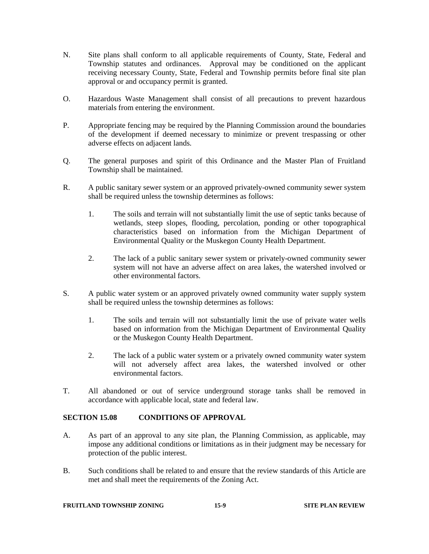- N. Site plans shall conform to all applicable requirements of County, State, Federal and Township statutes and ordinances. Approval may be conditioned on the applicant receiving necessary County, State, Federal and Township permits before final site plan approval or and occupancy permit is granted.
- O. Hazardous Waste Management shall consist of all precautions to prevent hazardous materials from entering the environment.
- P. Appropriate fencing may be required by the Planning Commission around the boundaries of the development if deemed necessary to minimize or prevent trespassing or other adverse effects on adjacent lands.
- Q. The general purposes and spirit of this Ordinance and the Master Plan of Fruitland Township shall be maintained.
- R. A public sanitary sewer system or an approved privately-owned community sewer system shall be required unless the township determines as follows:
	- 1. The soils and terrain will not substantially limit the use of septic tanks because of wetlands, steep slopes, flooding, percolation, ponding or other topographical characteristics based on information from the Michigan Department of Environmental Quality or the Muskegon County Health Department.
	- 2. The lack of a public sanitary sewer system or privately-owned community sewer system will not have an adverse affect on area lakes, the watershed involved or other environmental factors.
- S. A public water system or an approved privately owned community water supply system shall be required unless the township determines as follows:
	- 1. The soils and terrain will not substantially limit the use of private water wells based on information from the Michigan Department of Environmental Quality or the Muskegon County Health Department.
	- 2. The lack of a public water system or a privately owned community water system will not adversely affect area lakes, the watershed involved or other environmental factors.
- T. All abandoned or out of service underground storage tanks shall be removed in accordance with applicable local, state and federal law.

## **SECTION 15.08 CONDITIONS OF APPROVAL**

- A. As part of an approval to any site plan, the Planning Commission, as applicable, may impose any additional conditions or limitations as in their judgment may be necessary for protection of the public interest.
- B. Such conditions shall be related to and ensure that the review standards of this Article are met and shall meet the requirements of the Zoning Act.

#### **FRUITLAND TOWNSHIP ZONING 15-9 SITE PLAN REVIEW**